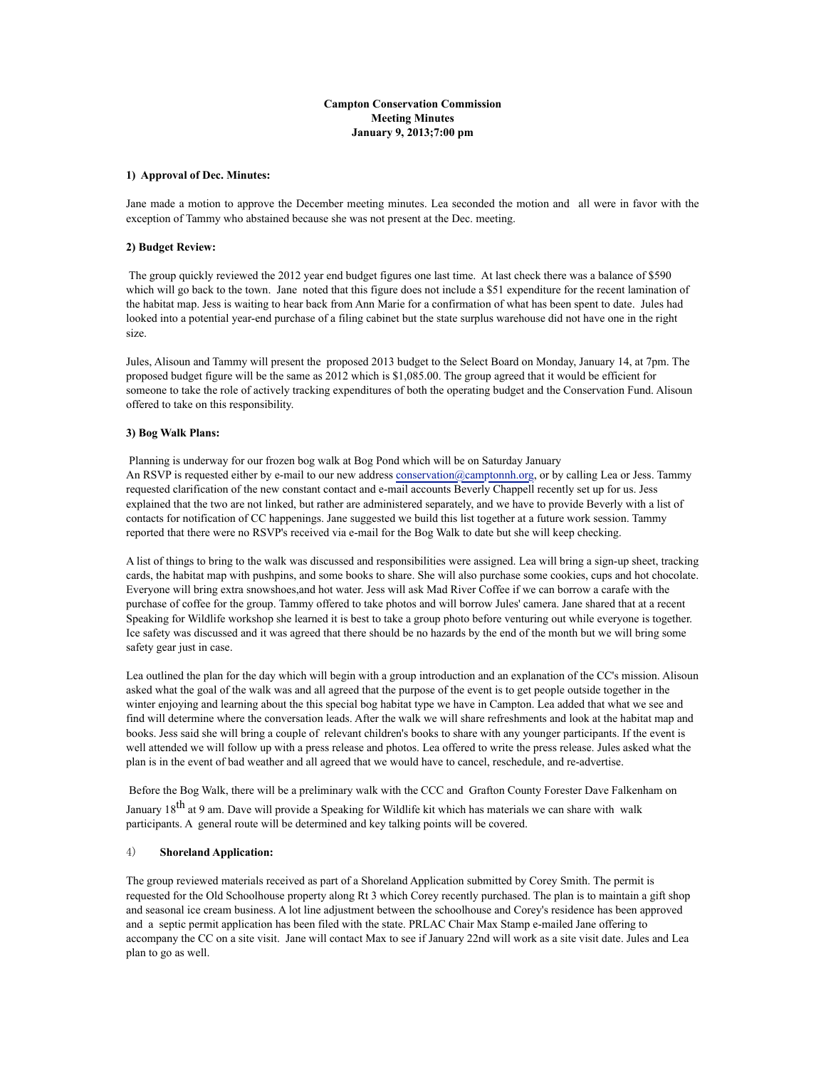### **Campton Conservation Commission Meeting Minutes January 9, 2013;7:00 pm**

#### **1) Approval of Dec. Minutes:**

Jane made a motion to approve the December meeting minutes. Lea seconded the motion and all were in favor with the exception of Tammy who abstained because she was not present at the Dec. meeting.

#### **2) Budget Review:**

 The group quickly reviewed the 2012 year end budget figures one last time. At last check there was a balance of \$590 which will go back to the town. Jane noted that this figure does not include a \$51 expenditure for the recent lamination of the habitat map. Jess is waiting to hear back from Ann Marie for a confirmation of what has been spent to date. Jules had looked into a potential year-end purchase of a filing cabinet but the state surplus warehouse did not have one in the right size.

Jules, Alisoun and Tammy will present the proposed 2013 budget to the Select Board on Monday, January 14, at 7pm. The proposed budget figure will be the same as 2012 which is \$1,085.00. The group agreed that it would be efficient for someone to take the role of actively tracking expenditures of both the operating budget and the Conservation Fund. Alisoun offered to take on this responsibility.

#### **3) Bog Walk Plans:**

 Planning is underway for our frozen bog walk at Bog Pond which will be on Saturday January An RSVP is requested either by e-mail to our new address [conservation@camptonnh.org,](mailto:conservation@camptonnh.org) or by calling Lea or Jess. Tammy requested clarification of the new constant contact and e-mail accounts Beverly Chappell recently set up for us. Jess explained that the two are not linked, but rather are administered separately, and we have to provide Beverly with a list of contacts for notification of CC happenings. Jane suggested we build this list together at a future work session. Tammy reported that there were no RSVP's received via e-mail for the Bog Walk to date but she will keep checking.

A list of things to bring to the walk was discussed and responsibilities were assigned. Lea will bring a sign-up sheet, tracking cards, the habitat map with pushpins, and some books to share. She will also purchase some cookies, cups and hot chocolate. Everyone will bring extra snowshoes,and hot water. Jess will ask Mad River Coffee if we can borrow a carafe with the purchase of coffee for the group. Tammy offered to take photos and will borrow Jules' camera. Jane shared that at a recent Speaking for Wildlife workshop she learned it is best to take a group photo before venturing out while everyone is together. Ice safety was discussed and it was agreed that there should be no hazards by the end of the month but we will bring some safety gear just in case.

Lea outlined the plan for the day which will begin with a group introduction and an explanation of the CC's mission. Alisoun asked what the goal of the walk was and all agreed that the purpose of the event is to get people outside together in the winter enjoying and learning about the this special bog habitat type we have in Campton. Lea added that what we see and find will determine where the conversation leads. After the walk we will share refreshments and look at the habitat map and books. Jess said she will bring a couple of relevant children's books to share with any younger participants. If the event is well attended we will follow up with a press release and photos. Lea offered to write the press release. Jules asked what the plan is in the event of bad weather and all agreed that we would have to cancel, reschedule, and re-advertise.

 Before the Bog Walk, there will be a preliminary walk with the CCC and Grafton County Forester Dave Falkenham on January 18<sup>th</sup> at 9 am. Dave will provide a Speaking for Wildlife kit which has materials we can share with walk

participants. A general route will be determined and key talking points will be covered.

# 4) **Shoreland Application:**

The group reviewed materials received as part of a Shoreland Application submitted by Corey Smith. The permit is requested for the Old Schoolhouse property along Rt 3 which Corey recently purchased. The plan is to maintain a gift shop and seasonal ice cream business. A lot line adjustment between the schoolhouse and Corey's residence has been approved and a septic permit application has been filed with the state. PRLAC Chair Max Stamp e-mailed Jane offering to accompany the CC on a site visit. Jane will contact Max to see if January 22nd will work as a site visit date. Jules and Lea plan to go as well.